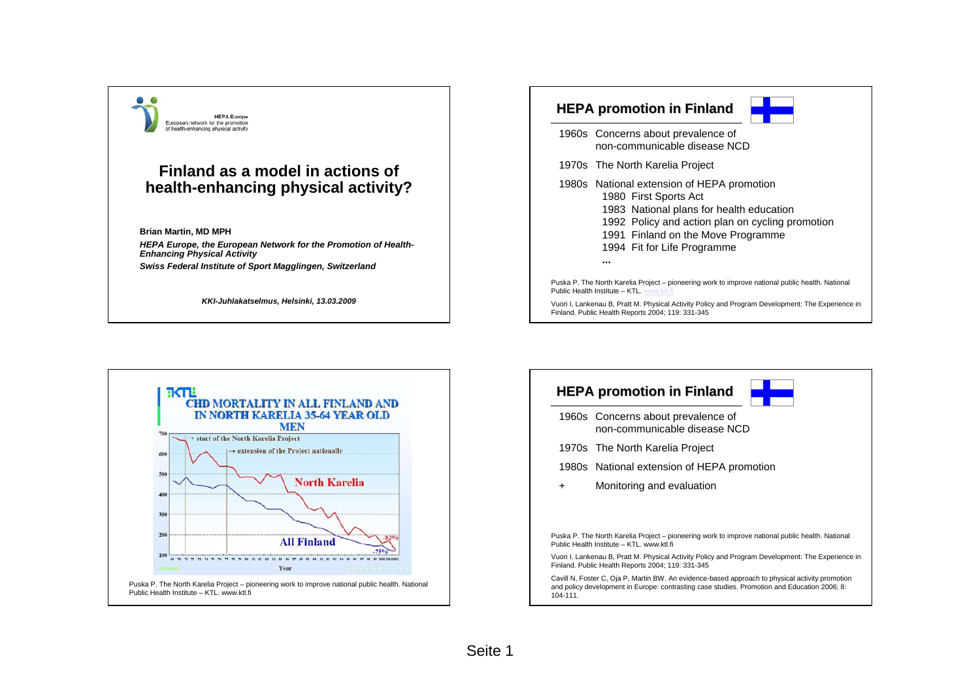



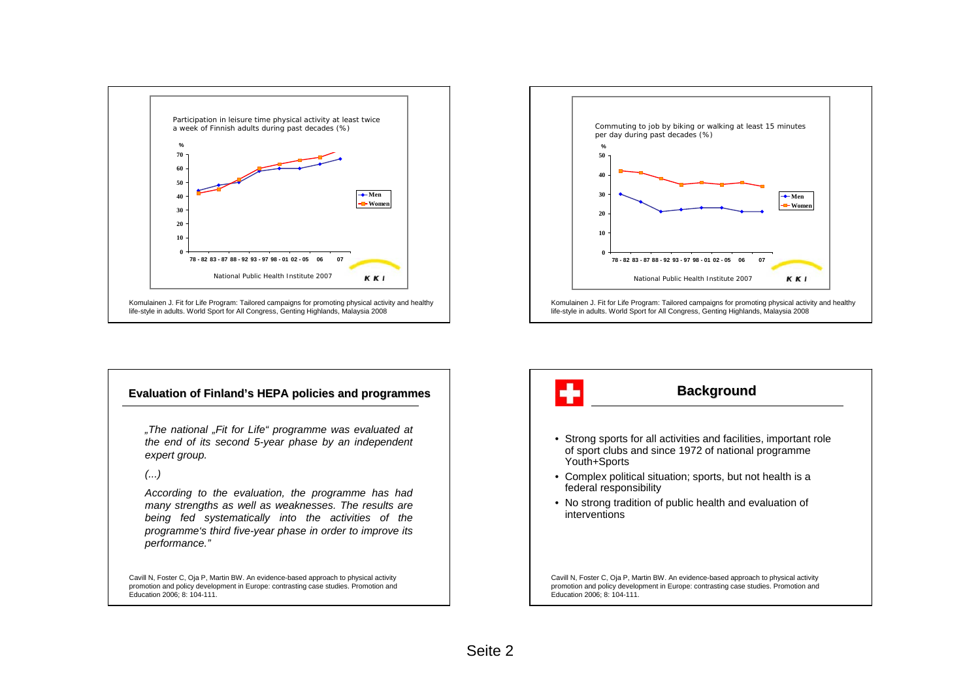



### **Evaluation of Finland's HEPA policies and programmes**

*"The national "Fit for Life" programme was evaluated at the end of its second 5-year phase by an independent expert group.*

### *(...)*

*According to the evaluation, the programme has had many strengths as well as weaknesses. The results are being fed systematically into the activities of the programme's third five-year phase in order to improve its performance."*

Cavill N, Foster C, Oja P, Martin BW. An evidence-based approach to physical activity promotion and policy development in Europe: contrasting case studies. Promotion and Education 2006; 8: 104-111.

# ÷ **Background** • Strong sports for all activities and facilities, important role of sport clubs and since 1972 of national programme

- Youth+Sports
- Complex political situation; sports, but not health is a federal responsibility
- No strong tradition of public health and evaluation of interventions

Cavill N, Foster C, Oja P, Martin BW. An evidence-based approach to physical activity promotion and policy development in Europe: contrasting case studies. Promotion and Education 2006; 8: 104-111.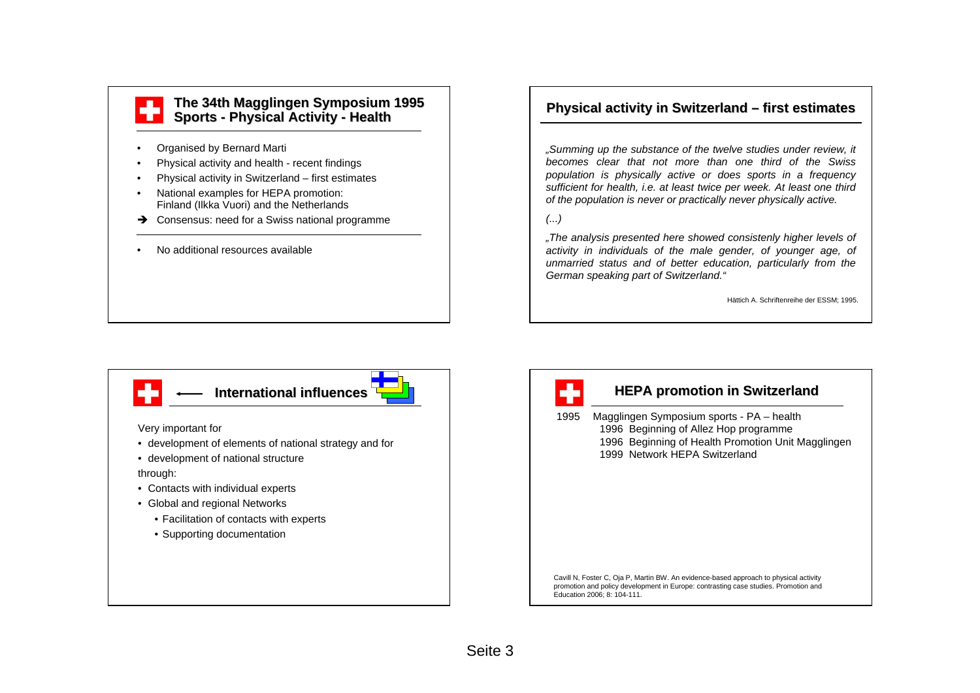## **The 34th Magglingen Symposium 1995 Sports - Physical Activity Physical Activity - Health**

- •Organised by Bernard Marti
- •Physical activity and health - recent findings
- •Physical activity in Switzerland – first estimates
- • National examples for HEPA promotion: Finland (Ilkka Vuori) and the Netherlands
- $\rightarrow$  Consensus: need for a Swiss national programme
- •No additional resources available

# **Physical activity in Switzerland – first estimates**

*"Summing up the substance of the twelve studies under review, it becomes clear that not more than one third of the Swiss population is physically active or does sports in a frequency sufficient for health, i.e. at least twice per week. At least one third of the population is never or practically never physically active.*

## *(...)*

*"The analysis presented here showed consistenly higher levels of activity in individuals of the male gender, of younger age, of unmarried status and of better education, particularly from the German speaking part of Switzerland."*

Hättich A. Schriftenreihe der ESSM; 1995.





# **HEPA promotion in Switzerland**

 Magglingen Symposium sports - PA – health Beginning of Allez Hop programme Beginning of Health Promotion Unit Magglingen Network HEPA Switzerland

Cavill N, Foster C, Oja P, Martin BW. An evidence-based approach to physical activity promotion and policy development in Europe: contrasting case studies. Promotion and Education 2006; 8: 104-111.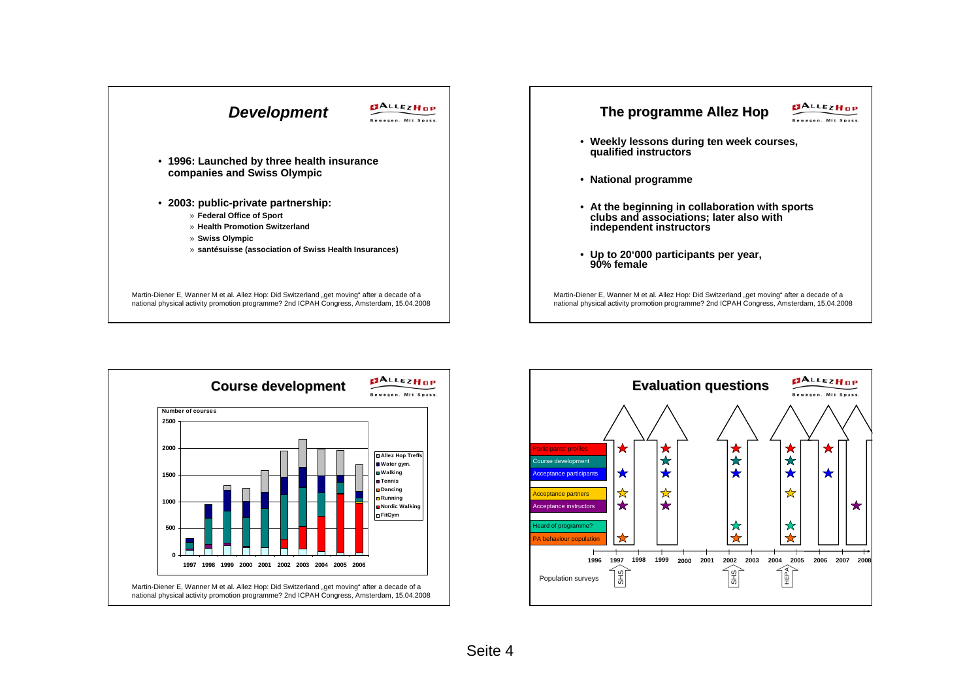



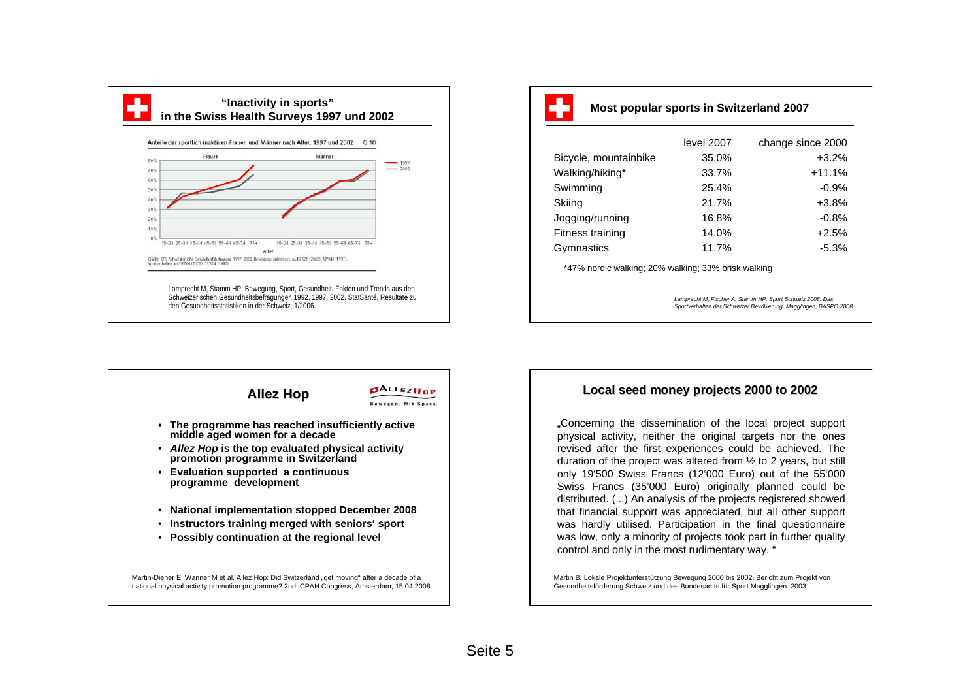

| - |  |
|---|--|
|   |  |
|   |  |

**Most popular sports in Switzerland 2007**

|                       | level 2007 | change since 2000 |
|-----------------------|------------|-------------------|
| Bicycle, mountainbike | 35.0%      | $+3.2%$           |
| Walking/hiking*       | 33.7%      | $+11.1%$          |
| Swimming              | 25.4%      | $-0.9%$           |
| Skiing                | 21.7%      | $+3.8%$           |
| Jogging/running       | 16.8%      | $-0.8%$           |
| Fitness training      | 14.0%      | $+2.5%$           |
| Gymnastics            | 11.7%      | $-5.3%$           |

\*47% nordic walking; 20% walking; 33% brisk walking

*Lamprecht M, Fischer A, Stamm HP. Sport Schweiz 2008: Das Sportverhalten der Schweizer Bevölkerung. Magglingen, BASPO 2008*



## **Local seed money projects 2000 to 2002 2000 to 2002**

"Concerning the dissemination of the local project support physical activity, neither the original targets nor the ones revised after the first experiences could be achieved. The duration of the project was altered from ½ to 2 years, but still only 19'500 Swiss Francs (12'000 Euro) out of the 55'000 Swiss Francs (35'000 Euro) originally planned could be distributed. (...) An analysis of the projects registered showed that financial support was appreciated, but all other support was hardly utilised. Participation in the final questionnaire was low, only a minority of projects took part in further quality control and only in the most rudimentary way. "

Martin B. Lokale Projektunterstützung Bewegung 2000 bis 2002. Bericht zum Projekt von Gesundheitsförderung Schweiz und des Bundesamts für Sport Magglingen. 2003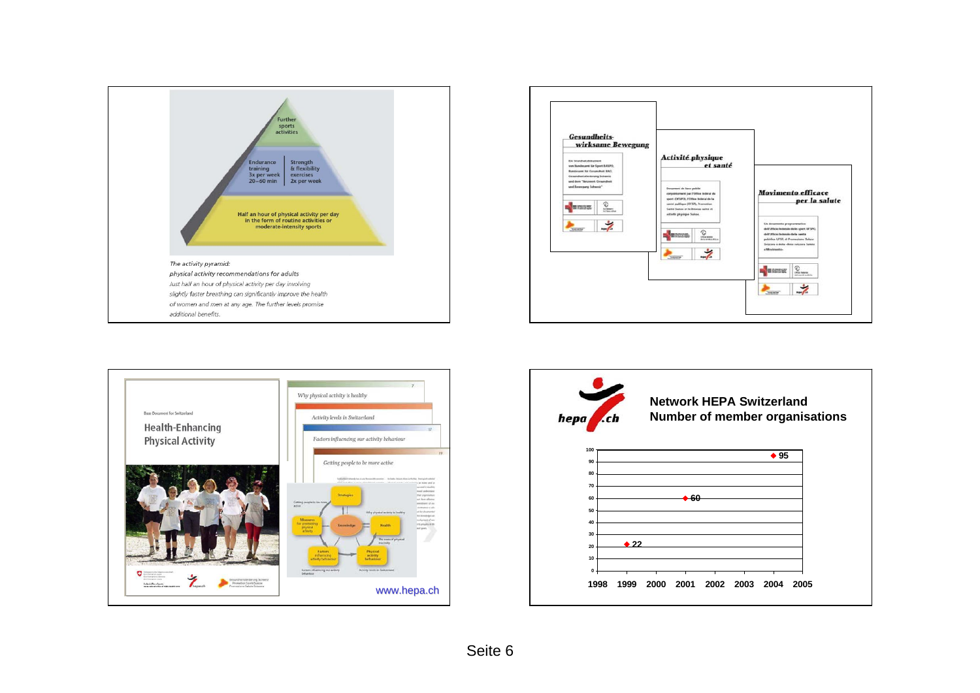





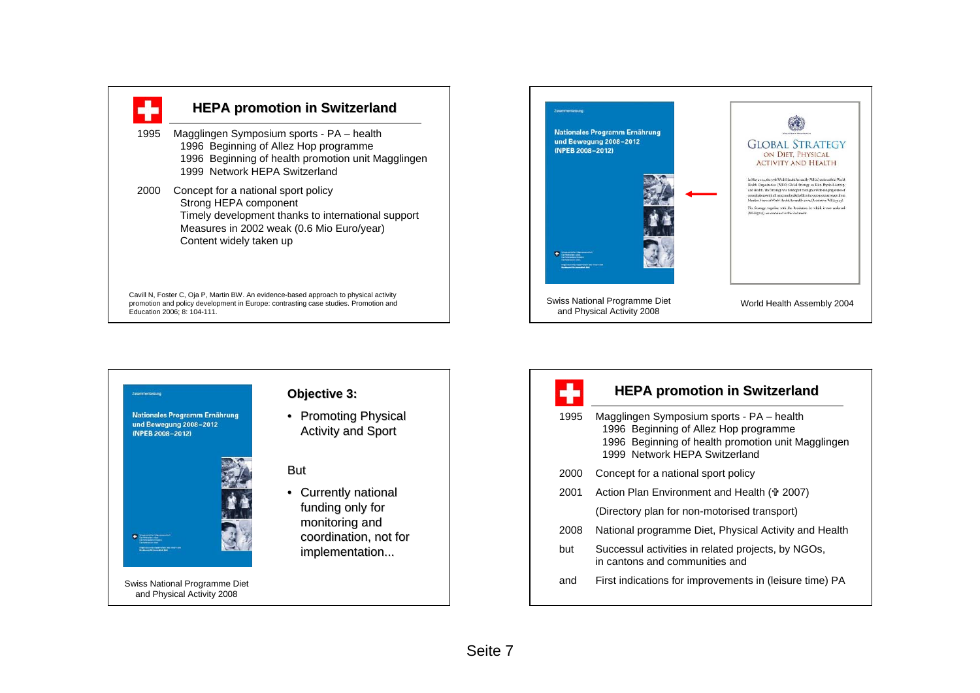





# ÷

# **HEPA promotion in Switzerland**

- 1995 Magglingen Symposium sports PA health 1996 Beginning of Allez Hop programme 1996 Beginning of health promotion unit Magglingen 1999 Network HEPA Switzerland2000 Concept for a national sport policy 2001 Action Plan Environment and Health († 2007) (Directory plan for non-motorised transport) 2008 National programme Diet, Physical Activity and Health
- but Successul activities in related projects, by NGOs, in cantons and communities and
- and First indications for improvements in (leisure time) PA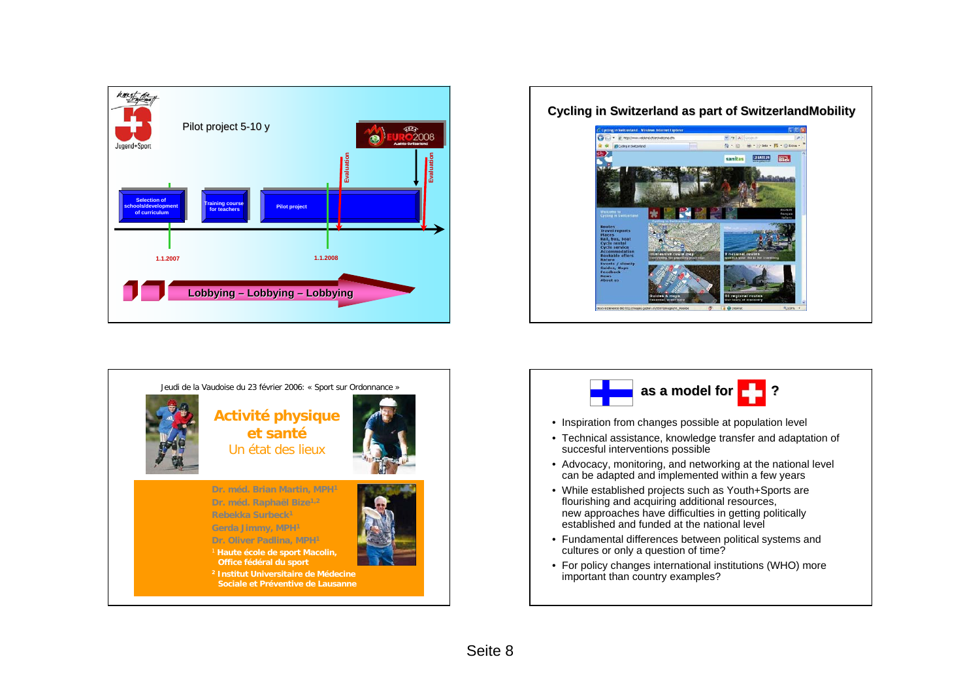







- Inspiration from changes possible at population level
- Technical assistance, knowledge transfer and adaptation of succesful interventions possible
- Advocacy, monitoring, and networking at the national level can be adapted and implemented within a few years
- While established projects such as Youth+Sports are flourishing and acquiring additional resources, new approaches have difficulties in getting politically established and funded at the national level
- Fundamental differences between political systems and cultures or only a question of time?
- For policy changes international institutions (WHO) more important than country examples?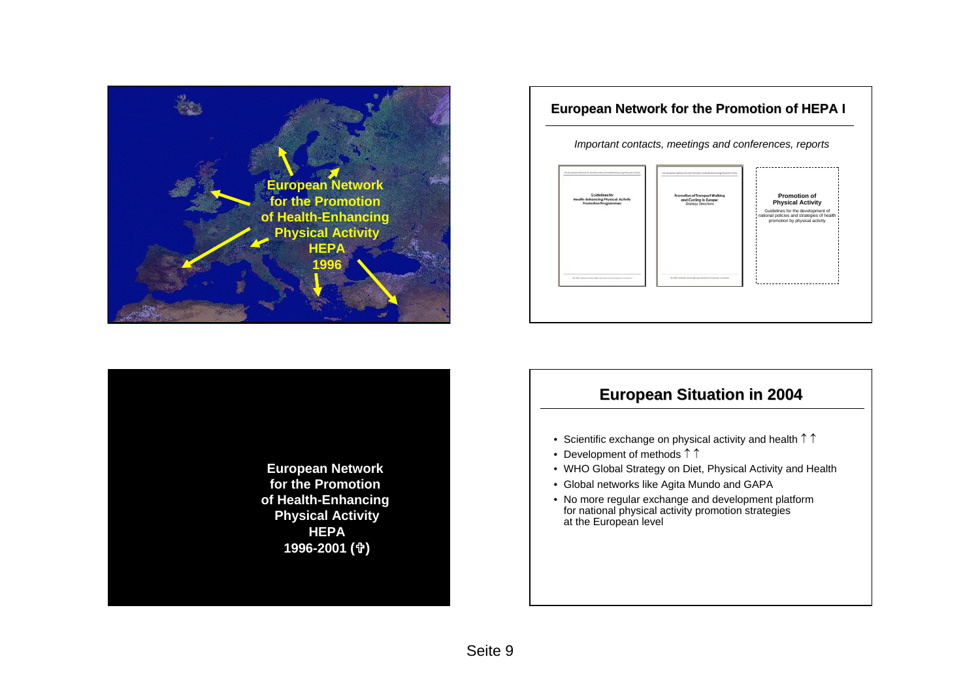



# **European Network for the Promotion of HEPA I** *Important contacts, meetings and conferences, reports* **Promotion of** and Cycling in Europe **Physical Activity** Guidelines for the development of national policies and strategies of health promotion by physical activity

# **European Situation in 2004 European Situation in 2004**

- Scientific exchange on physical activity and health  $\uparrow \uparrow$
- Development of methods ↑ ↑
- WHO Global Strategy on Diet, Physical Activity and Health
- Global networks like Agita Mundo and GAPA
- No more regular exchange and development platform for national physical activity promotion strategies at the European level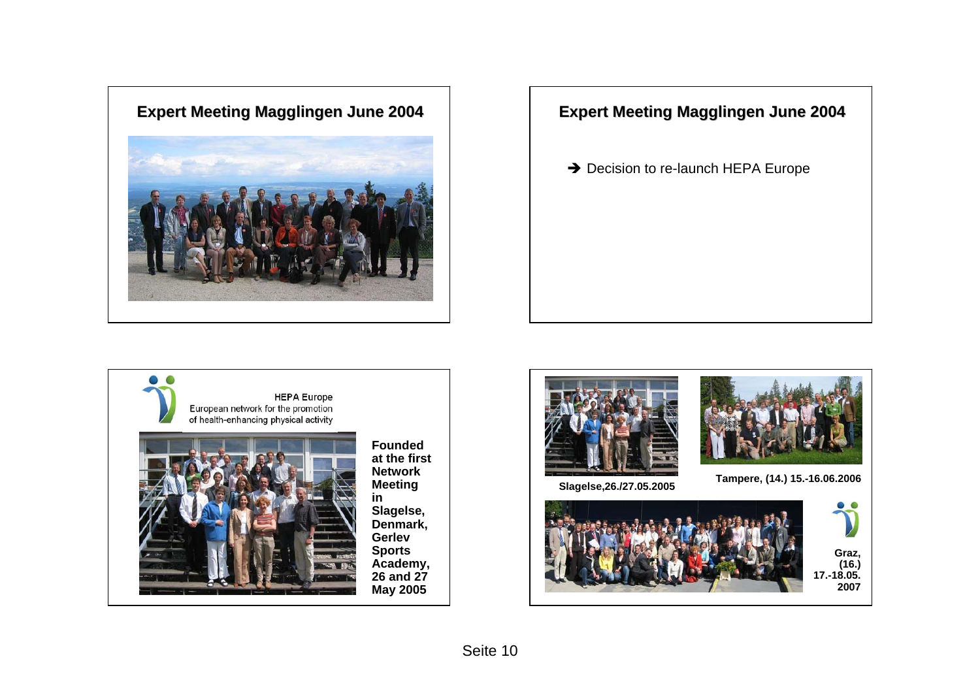

 $\rightarrow$  Decision to re-launch HEPA Europe





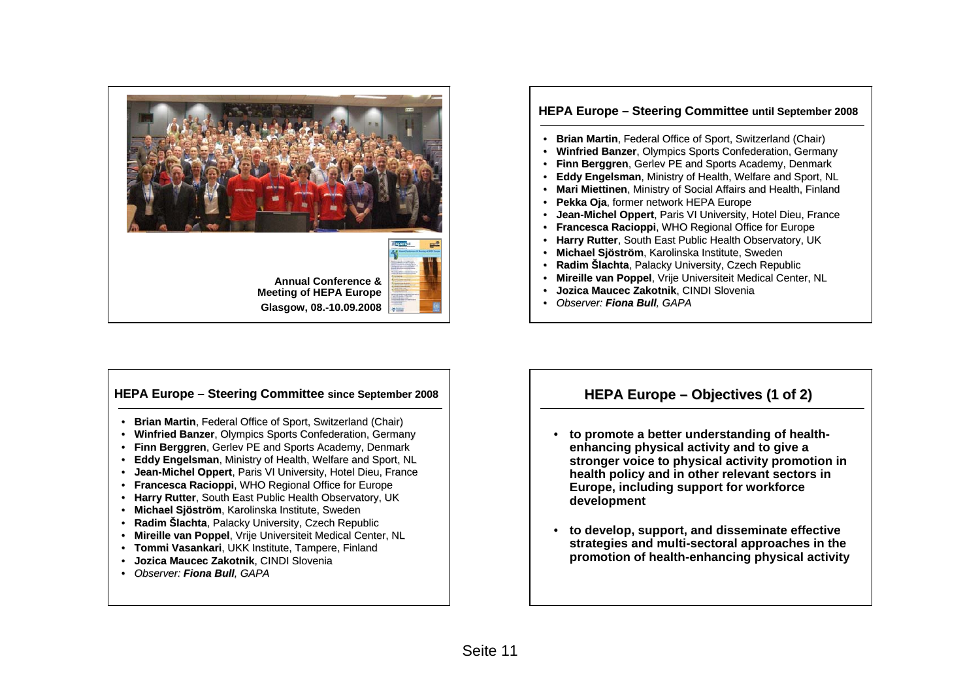

### **HEPA Europe – Steering Committee until September 2008** •**Brian Martin**, Federal Office of Sport, Switzerland (Chair) **• Winfried Banzer**, Olympics Sports Confederation, Germany • **Finn Berggren**, Gerlev PE and Sports Academy, Denmark • **Eddy Engelsman**, Ministry of Health, Welfare and Sport, NL • **Mari Miettinen**, Ministry of Social Affairs and Health, Finland • **Pekka Oja**, former network HEPA Europe •**Jean-Michel Oppert**, Paris VI University, Hotel Dieu, France • **Francesca Racioppi Francesca Racioppi**, WHO Regional Office for Europe • **Harry Rutter**, South East Public Health Observatory, UK

- **Michael Michael Sjöström**, Karolinska Institute, Sweden
- **Radim Šlachta**, Palacky University, Czech Republic
- •**Mireille van Poppel, Vrije Universiteit Medical Center, NL**
- •**Jozica Maucec Zakotnik**, CINDI Slovenia
- *Observer: Observer: Fiona Bull Bull, GAPA*

### **HEPA Europe – Steering Committee since September 2008 Heparter 2008 HEPA Europe – Objectives (1 of 2)**

- **Brian Martin**, Federal Office of Sport, Switzerland (Chair)
- **Winfried Banzer**, Olympics Sports Confederation, Germany
- **Finn Berggren**, Gerlev PE and Sports Academy, Denmark
- **Eddy Engelsman**, Ministry of Health, Welfare and Sport, NL
- Jean-Michel Oppert, Paris VI University, Hotel Dieu, France
- **Francesca Racioppi Francesca Racioppi**, WHO Regional Office for Europe
- **Harry Rutter**, South East Public Health Observatory, UK
- **Michael Michael Sjöström**, Karolinska Institute, Sweden
- **Radim Šlachta**, Palacky University, Czech Republic
- **Mireille van Poppel**, Vrije Universiteit Medical Center, NL
- **Tommi Vasankari Vasankari**, UKK Institute, Tampere, Finland
- **Jozica Maucec Zakotnik**, CINDI Slovenia
- *Observer: Observer: Fiona Bull Fiona Bull, GAPA*

- **to promote a better understanding of healthenhancing physical activity and to give a stronger voice to physical activity promotion in health policy and in other relevant sectors in Europe, including support for workforce development**
- **to develop, support, and disseminate effective strategies and multi-sectoral approaches in the promotion of health-enhancing physical activity**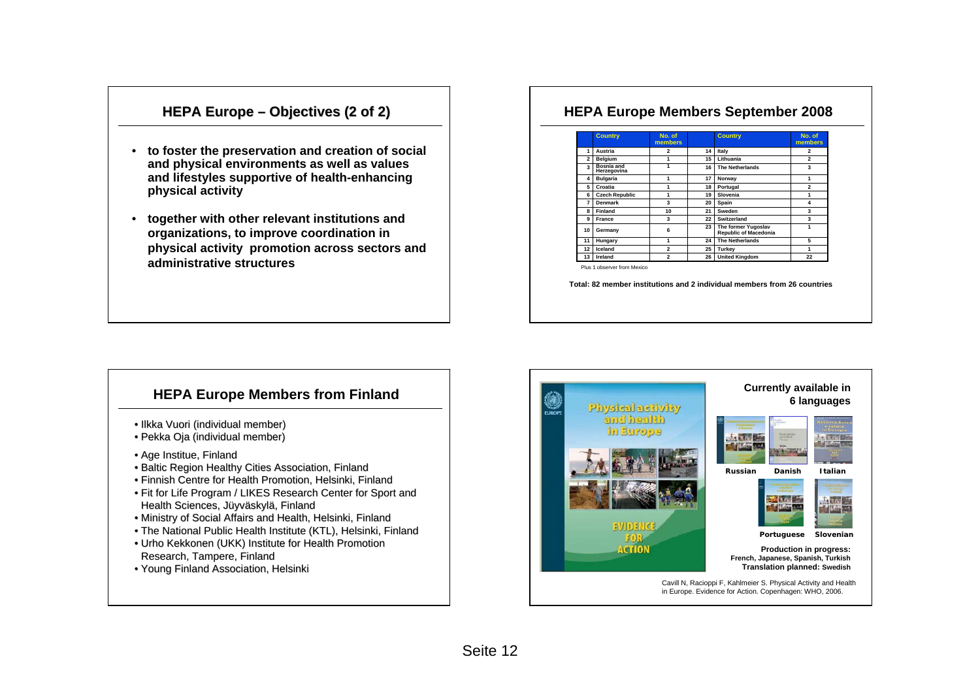# **HEPA Europe – Objectives (2 of 2)**

- **to foster the preservation and creation of social and physical environments as well as values and lifestyles supportive of health-enhancing physical activity**
- **together with other relevant institutions and organizations, to improve coordination in physical activity promotion across sectors and administrative structures**

# **HEPA Europe Members September 2008**

|                | <b>Country</b>                   | No. of<br>members       |    | <b>Country</b>                               | No. of<br>members       |
|----------------|----------------------------------|-------------------------|----|----------------------------------------------|-------------------------|
| 1              | Austria                          | $\overline{2}$          | 14 | Italy                                        | $\overline{2}$          |
| $\overline{2}$ | Belgium                          |                         | 15 | Lithuania                                    | $\overline{\mathbf{c}}$ |
| $\mathbf{a}$   | <b>Bosnia and</b><br>Herzegovina |                         | 16 | <b>The Netherlands</b>                       | 3                       |
| 4              | <b>Bulgaria</b>                  | 1                       | 17 | Norway                                       | 1                       |
| 5              | Croatia                          |                         | 18 | Portugal                                     | $\overline{2}$          |
| 6              | <b>Czech Republic</b>            | 1                       | 19 | Slovenia                                     | 1                       |
| 7              | Denmark                          | $\overline{\mathbf{3}}$ | 20 | Spain                                        | 4                       |
| 8              | Finland                          | 10                      | 21 | Sweden                                       | 3                       |
| 9              | France                           | 3                       | 22 | Switzerland                                  | 3                       |
| 10             | Germany                          | 6                       | 23 | The former Yugoslav<br>Republic of Macedonia | 1                       |
| 11             | Hungary                          | 1                       | 24 | <b>The Netherlands</b>                       | 5                       |
| 12             | Iceland                          | $\overline{a}$          | 25 | Turkev                                       | 1                       |
| 13             | Ireland                          | $\overline{a}$          | 26 | <b>United Kingdom</b>                        | 22                      |

Plus 1 observer from Mexico

**Total: 82 member institutions and 2 individual members from 26 countries**

# **HEPA Europe Members from Finland**

- Ilkka Vuori (individual member)
- Pekka Oja (individual member)
- Age Institue, Finland
- Baltic Region Healthy Cities Association, Finland
- Finnish Centre for Health Promotion, Helsinki, Finland
- Fit for Life Program / LIKES Research Center for Sport and Health Sciences, Jüyväskylä, Finland
- Ministry of Social Affairs and Health, Helsinki, Finland
- The National Public Health Institute (KTL), Helsinki, Finland
- Urho Kekkonen (UKK) Institute for Health Promotion Research, Tampere, Finland
- Young Finland Association, Helsinki

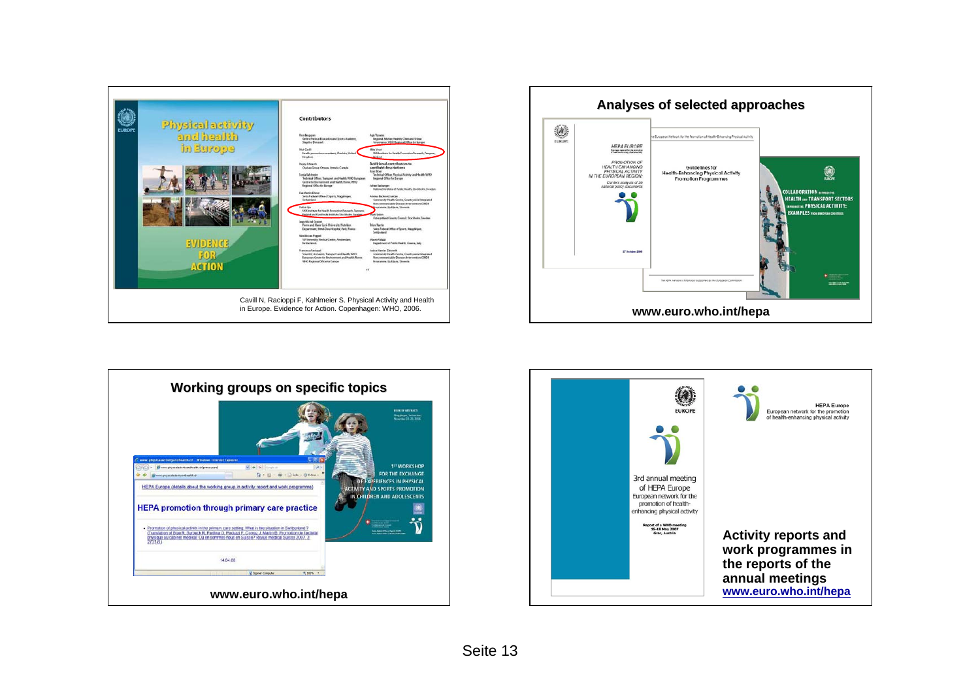